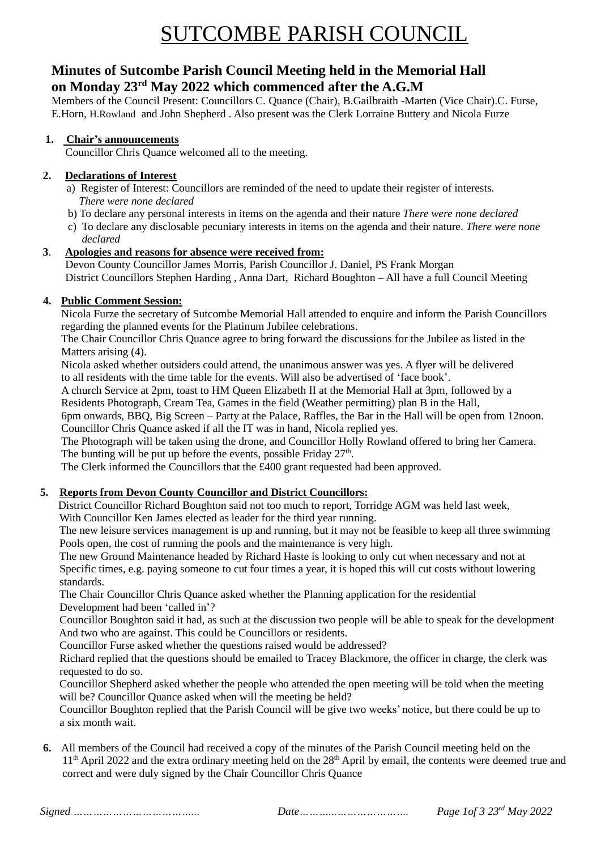# SUTCOMBE PARISH COUNCIL

## **Minutes of Sutcombe Parish Council Meeting held in the Memorial Hall on Monday 23rd May 2022 which commenced after the A.G.M**

Members of the Council Present: Councillors C. Quance (Chair), B.Gailbraith -Marten (Vice Chair).C. Furse, E.Horn, H.Rowland and John Shepherd . Also present was the Clerk Lorraine Buttery and Nicola Furze

## **1. Chair's announcements**

Councillor Chris Quance welcomed all to the meeting.

## **2. Declarations of Interest**

- a) Register of Interest: Councillors are reminded of the need to update their register of interests.  *There were none declared*
- b) To declare any personal interests in items on the agenda and their nature *There were none declared*
- c) To declare any disclosable pecuniary interests in items on the agenda and their nature. *There were none declared*

## **3**.**Apologies and reasons for absence were received from:**

Devon County Councillor James Morris, Parish Councillor J. Daniel, PS Frank Morgan District Councillors Stephen Harding , Anna Dart, Richard Boughton – All have a full Council Meeting

## **4. Public Comment Session:**

Nicola Furze the secretary of Sutcombe Memorial Hall attended to enquire and inform the Parish Councillors regarding the planned events for the Platinum Jubilee celebrations.

The Chair Councillor Chris Quance agree to bring forward the discussions for the Jubilee as listed in the Matters arising (4).

Nicola asked whether outsiders could attend, the unanimous answer was yes. A flyer will be delivered to all residents with the time table for the events. Will also be advertised of 'face book'.

A church Service at 2pm, toast to HM Queen Elizabeth II at the Memorial Hall at 3pm, followed by a Residents Photograph, Cream Tea, Games in the field (Weather permitting) plan B in the Hall,

6pm onwards, BBQ, Big Screen – Party at the Palace, Raffles, the Bar in the Hall will be open from 12noon. Councillor Chris Quance asked if all the IT was in hand, Nicola replied yes.

The Photograph will be taken using the drone, and Councillor Holly Rowland offered to bring her Camera. The bunting will be put up before the events, possible Friday  $27<sup>th</sup>$ .

The Clerk informed the Councillors that the £400 grant requested had been approved.

## **5. Reports from Devon County Councillor and District Councillors:**

District Councillor Richard Boughton said not too much to report, Torridge AGM was held last week,

With Councillor Ken James elected as leader for the third year running.

 The new leisure services management is up and running, but it may not be feasible to keep all three swimming Pools open, the cost of running the pools and the maintenance is very high.

 The new Ground Maintenance headed by Richard Haste is looking to only cut when necessary and not at Specific times, e.g. paying someone to cut four times a year, it is hoped this will cut costs without lowering standards.

 The Chair Councillor Chris Quance asked whether the Planning application for the residential Development had been 'called in'?

 Councillor Boughton said it had, as such at the discussion two people will be able to speak for the development And two who are against. This could be Councillors or residents.

Councillor Furse asked whether the questions raised would be addressed?

 Richard replied that the questions should be emailed to Tracey Blackmore, the officer in charge, the clerk was requested to do so.

 Councillor Shepherd asked whether the people who attended the open meeting will be told when the meeting will be? Councillor Quance asked when will the meeting be held?

 Councillor Boughton replied that the Parish Council will be give two weeks' notice, but there could be up to a six month wait.

**6.** All members of the Council had received a copy of the minutes of the Parish Council meeting held on the 11<sup>th</sup> April 2022 and the extra ordinary meeting held on the 28<sup>th</sup> April by email, the contents were deemed true and correct and were duly signed by the Chair Councillor Chris Quance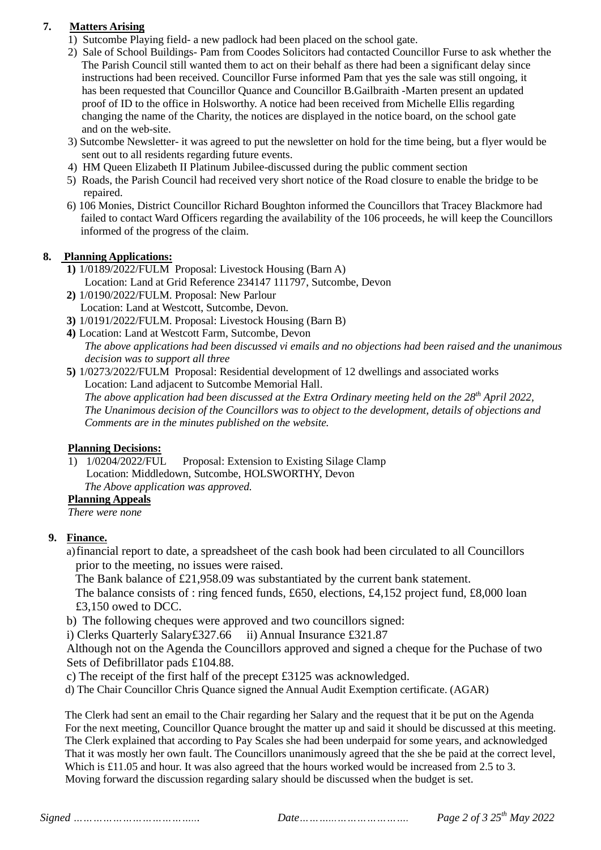## **7. Matters Arising**

- 1) Sutcombe Playing field- a new padlock had been placed on the school gate.
- 2) Sale of School Buildings- Pam from Coodes Solicitors had contacted Councillor Furse to ask whether the The Parish Council still wanted them to act on their behalf as there had been a significant delay since instructions had been received. Councillor Furse informed Pam that yes the sale was still ongoing, it has been requested that Councillor Quance and Councillor B.Gailbraith -Marten present an updated proof of ID to the office in Holsworthy. A notice had been received from Michelle Ellis regarding changing the name of the Charity, the notices are displayed in the notice board, on the school gate and on the web-site.
- 3) Sutcombe Newsletter- it was agreed to put the newsletter on hold for the time being, but a flyer would be sent out to all residents regarding future events.
- 4) HM Queen Elizabeth II Platinum Jubilee-discussed during the public comment section
- 5) Roads, the Parish Council had received very short notice of the Road closure to enable the bridge to be repaired.
- 6) 106 Monies, District Councillor Richard Boughton informed the Councillors that Tracey Blackmore had failed to contact Ward Officers regarding the availability of the 106 proceeds, he will keep the Councillors informed of the progress of the claim.

## **8. Planning Applications:**

- **1)** 1/0189/2022/FULM Proposal: Livestock Housing (Barn A) Location: Land at Grid Reference 234147 111797, Sutcombe, Devon
- **2)** 1/0190/2022/FULM. Proposal: New Parlour Location: Land at Westcott, Sutcombe, Devon.
- **3)** 1/0191/2022/FULM. Proposal: Livestock Housing (Barn B)
- **4)** Location: Land at Westcott Farm, Sutcombe, Devon *The above applications had been discussed vi emails and no objections had been raised and the unanimous decision was to support all three*
- **5)** 1/0273/2022/FULM Proposal: Residential development of 12 dwellings and associated works Location: Land adjacent to Sutcombe Memorial Hall. *The above application had been discussed at the Extra Ordinary meeting held on the 28th April 2022, The Unanimous decision of the Councillors was to object to the development, details of objections and Comments are in the minutes published on the website.*

## **Planning Decisions:**

1) 1/0204/2022/FUL Proposal: Extension to Existing Silage Clamp Location: Middledown, Sutcombe, HOLSWORTHY, Devon  *The Above application was approved.* 

## **Planning Appeals**

 *There were none*

## **9. Finance.**

a)financial report to date, a spreadsheet of the cash book had been circulated to all Councillors prior to the meeting, no issues were raised.

The Bank balance of £21,958.09 was substantiated by the current bank statement.

The balance consists of : ring fenced funds, £650, elections, £4,152 project fund, £8,000 loan £3,150 owed to DCC.

b) The following cheques were approved and two councillors signed:

i) Clerks Quarterly Salary£327.66 ii) Annual Insurance £321.87

Although not on the Agenda the Councillors approved and signed a cheque for the Puchase of two Sets of Defibrillator pads £104.88.

- c) The receipt of the first half of the precept £3125 was acknowledged.
- d) The Chair Councillor Chris Quance signed the Annual Audit Exemption certificate. (AGAR)

 The Clerk had sent an email to the Chair regarding her Salary and the request that it be put on the Agenda For the next meeting, Councillor Quance brought the matter up and said it should be discussed at this meeting. The Clerk explained that according to Pay Scales she had been underpaid for some years, and acknowledged That it was mostly her own fault. The Councillors unanimously agreed that the she be paid at the correct level, Which is £11.05 and hour. It was also agreed that the hours worked would be increased from 2.5 to 3. Moving forward the discussion regarding salary should be discussed when the budget is set.